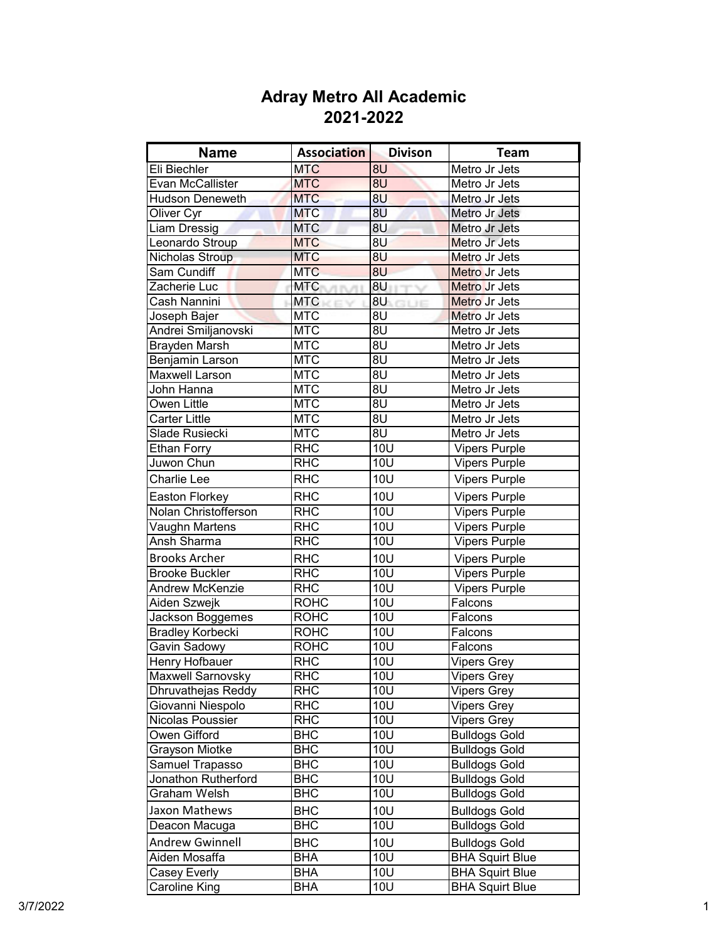| <b>Name</b>             | <b>Association</b>           | <b>Divison</b>   | Team                   |
|-------------------------|------------------------------|------------------|------------------------|
| Eli Biechler            | <b>MTC</b>                   | 8U               | Metro Jr Jets          |
| Evan McCallister        | <b>MTC</b>                   | 8U               | Metro Jr Jets          |
| <b>Hudson Deneweth</b>  | <b>MTC</b>                   | 8U               | Metro Jr Jets          |
| Oliver Cyr              | <b>MTC</b>                   | 8U               | Metro Jr Jets          |
| Liam Dressig            | <b>MTC</b>                   | 8U               | Metro Jr Jets          |
| Leonardo Stroup         | <b>MTC</b>                   | 8U               | Metro Jr Jets          |
| Nicholas Stroup         | <b>MTC</b>                   | 8U               | Metro Jr Jets          |
| Sam Cundiff             | <b>MTC</b>                   | 8U               | Metro Jr Jets          |
| Zacherie Luc            | <b>MTC</b><br><b>UTITUTE</b> | 8U               | Metro Jr Jets          |
| Cash Nannini            | <b>MTC</b>                   | 8U <b>BU</b>     | Metro Jr Jets          |
| Joseph Bajer            | <b>MTC</b>                   | 8U               | Metro Jr Jets          |
| Andrei Smiljanovski     | <b>MTC</b>                   | 8U               | Metro Jr Jets          |
| <b>Brayden Marsh</b>    | <b>MTC</b>                   | 8U               | Metro Jr Jets          |
| Benjamin Larson         | <b>MTC</b>                   | 8U               | Metro Jr Jets          |
| <b>Maxwell Larson</b>   | <b>MTC</b>                   | 8U               | Metro Jr Jets          |
| John Hanna              | <b>MTC</b>                   | 8U               | Metro Jr Jets          |
| Owen Little             | <b>MTC</b>                   | 8U               | Metro Jr Jets          |
| <b>Carter Little</b>    | <b>MTC</b>                   | 8U               | Metro Jr Jets          |
| Slade Rusiecki          | <b>MTC</b>                   | 8U               | Metro Jr Jets          |
| <b>Ethan Forry</b>      | <b>RHC</b>                   | 10U              | <b>Vipers Purple</b>   |
| Juwon Chun              | <b>RHC</b>                   | <b>10U</b>       | Vipers Purple          |
| <b>Charlie Lee</b>      | <b>RHC</b>                   | 10U              | <b>Vipers Purple</b>   |
| Easton Florkey          | <b>RHC</b>                   | 10U              | <b>Vipers Purple</b>   |
| Nolan Christofferson    | <b>RHC</b>                   | <b>10U</b>       | Vipers Purple          |
| Vaughn Martens          | <b>RHC</b>                   | $\overline{1}0U$ | <b>Vipers Purple</b>   |
| Ansh Sharma             | <b>RHC</b>                   | 10U              | <b>Vipers Purple</b>   |
| <b>Brooks Archer</b>    | <b>RHC</b>                   | <b>10U</b>       | <b>Vipers Purple</b>   |
| <b>Brooke Buckler</b>   | <b>RHC</b>                   | 10U              | <b>Vipers Purple</b>   |
| Andrew McKenzie         | <b>RHC</b>                   | 10U              | <b>Vipers Purple</b>   |
| Aiden Szwejk            | <b>ROHC</b>                  | 10U              | Falcons                |
| Jackson Boggemes        | <b>ROHC</b>                  | 10U              | Falcons                |
| <b>Bradley Korbecki</b> | <b>ROHC</b>                  | 10U              | Falcons                |
| Gavin Sadowy            | <b>ROHC</b>                  | 10U              | Falcons                |
| Henry Hofbauer          | <b>RHC</b>                   | <b>10U</b>       | Vipers Grey            |
| Maxwell Sarnovsky       | <b>RHC</b>                   | <b>10U</b>       | <b>Vipers Grey</b>     |
| Dhruvathejas Reddy      | <b>RHC</b>                   | <b>10U</b>       | <b>Vipers Grey</b>     |
| Giovanni Niespolo       | <b>RHC</b>                   | <b>10U</b>       | <b>Vipers Grey</b>     |
| Nicolas Poussier        | <b>RHC</b>                   | <b>10U</b>       | <b>Vipers Grey</b>     |
| Owen Gifford            | <b>BHC</b>                   | <b>10U</b>       | <b>Bulldogs Gold</b>   |
| Grayson Miotke          | <b>BHC</b>                   | 10U              | <b>Bulldogs Gold</b>   |
| Samuel Trapasso         | <b>BHC</b>                   | 10U              | <b>Bulldogs Gold</b>   |
| Jonathon Rutherford     | <b>BHC</b>                   | <b>10U</b>       | <b>Bulldogs Gold</b>   |
| Graham Welsh            | <b>BHC</b>                   | <b>10U</b>       | <b>Bulldogs Gold</b>   |
| Jaxon Mathews           | <b>BHC</b>                   | 10U              | <b>Bulldogs Gold</b>   |
| Deacon Macuga           | <b>BHC</b>                   | 10U              | <b>Bulldogs Gold</b>   |
| <b>Andrew Gwinnell</b>  | <b>BHC</b>                   | <b>10U</b>       | <b>Bulldogs Gold</b>   |
| Aiden Mosaffa           | <b>BHA</b>                   | 10U              | <b>BHA Squirt Blue</b> |
| Casey Everly            | <b>BHA</b>                   | <b>10U</b>       | <b>BHA Squirt Blue</b> |
| Caroline King           | <b>BHA</b>                   | <b>10U</b>       | <b>BHA Squirt Blue</b> |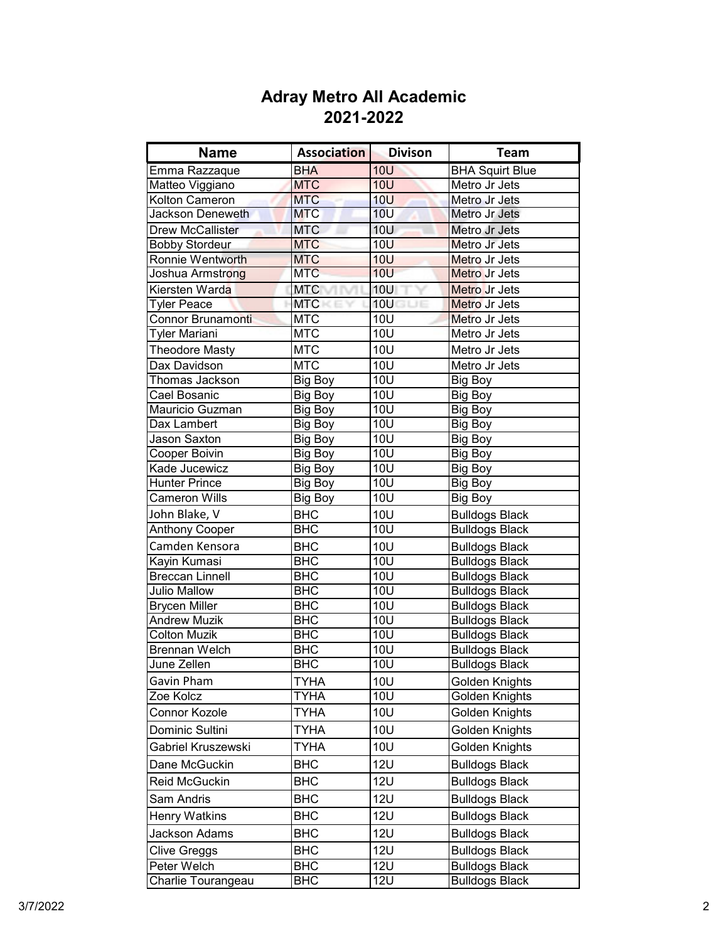| <b>Name</b>                         | <b>Association</b> | <b>Divison</b>   | <b>Team</b>            |
|-------------------------------------|--------------------|------------------|------------------------|
| Emma Razzaque                       | <b>BHA</b>         | 10U              | <b>BHA Squirt Blue</b> |
| Matteo Viggiano                     | <b>MTC</b>         | <b>10U</b>       | Metro Jr Jets          |
| Kolton Cameron                      | <b>MTC</b>         | <b>10U</b>       | Metro Jr Jets          |
| Jackson Deneweth                    | <b>MTC</b>         | 10 <sub>U</sub>  | Metro Jr Jets          |
| <b>Drew McCallister</b>             | <b>MTC</b>         | 10U              | Metro Jr Jets          |
| <b>Bobby Stordeur</b>               | <b>MTC</b>         | <b>10U</b>       | Metro Jr Jets          |
| Ronnie Wentworth                    | <b>MTC</b>         | <b>10U</b>       | Metro Jr Jets          |
| Joshua Armstr <mark>ong</mark>      | <b>MTC</b>         | <b>10U</b>       | Metro Jr Jets          |
| Kiersten Warda                      | <b>MTC</b>         | <b>10U</b>       | Metro Jr Jets          |
| <b>Tyler Peace</b>                  | <b>MTC</b>         | 10U              | Metro Jr Jets          |
| <b>Connor Brunamonti</b>            | <b>MTC</b>         | <b>10U</b>       | Metro Jr Jets          |
| Tyler Mariani                       | <b>MTC</b>         | <b>10U</b>       | Metro Jr Jets          |
| <b>Theodore Masty</b>               | <b>MTC</b>         | <b>10U</b>       | Metro Jr Jets          |
| Dax Davidson                        | <b>MTC</b>         | <b>10U</b>       | Metro Jr Jets          |
| Thomas Jackson                      | Big Boy            | <b>10U</b>       | <b>Big Boy</b>         |
| Cael Bosanic                        | Big Boy            | <b>10U</b>       | Big Boy                |
| Mauricio Guzman                     | Big Boy            | <b>10U</b>       | Big Boy                |
| Dax Lambert                         | Big Boy            | <b>10U</b>       | Big Boy                |
| <b>Jason Saxton</b>                 | Big Boy            | <b>10U</b>       | Big Boy                |
| <b>Cooper Boivin</b>                | Big Boy            | <b>10U</b>       | <b>Big Boy</b>         |
| Kade Jucewicz                       | Big Boy            | <b>10U</b>       | <b>Big Boy</b>         |
| <b>Hunter Prince</b>                | Big Boy            | <b>10U</b>       | <b>Big Boy</b>         |
| <b>Cameron Wills</b>                | <b>Big Boy</b>     | 10U              | <b>Big Boy</b>         |
| John Blake, V                       | <b>BHC</b>         | 10U              | <b>Bulldogs Black</b>  |
| <b>Anthony Cooper</b>               | $\overline{BHC}$   | $\overline{1}0U$ | <b>Bulldogs Black</b>  |
| Camden Kensora                      | <b>BHC</b>         | 10U              | <b>Bulldogs Black</b>  |
| Kayin Kumasi                        | <b>BHC</b>         | <b>10U</b>       | <b>Bulldogs Black</b>  |
| <b>Breccan Linnell</b>              | <b>BHC</b>         | 10U              | <b>Bulldogs Black</b>  |
| <b>Julio Mallow</b>                 | <b>BHC</b>         | 10U              | <b>Bulldogs Black</b>  |
| <b>Brycen Miller</b>                | <b>BHC</b>         | 10U              | <b>Bulldogs Black</b>  |
| <b>Andrew Muzik</b>                 | <b>BHC</b>         | <b>10U</b>       | <b>Bulldogs Black</b>  |
| <b>Colton Muzik</b>                 | <b>BHC</b>         | 10U              | <b>Bulldogs Black</b>  |
| <b>Brennan Welch</b><br>June Zellen | <b>BHC</b>         | 10U              | <b>Bulldogs Black</b>  |
|                                     | <b>BHC</b>         | $\overline{1}0U$ | <b>Bulldogs Black</b>  |
| Gavin Pham                          | TYHA               | 10U              | Golden Knights         |
| Zoe Kolcz                           | TYHA               | <b>10U</b>       | Golden Knights         |
| Connor Kozole                       | <b>TYHA</b>        | <b>10U</b>       | Golden Knights         |
| Dominic Sultini                     | <b>TYHA</b>        | <b>10U</b>       | Golden Knights         |
| Gabriel Kruszewski                  | <b>TYHA</b>        | <b>10U</b>       | Golden Knights         |
| Dane McGuckin                       | <b>BHC</b>         | <b>12U</b>       | <b>Bulldogs Black</b>  |
| Reid McGuckin                       | BHC                | <b>12U</b>       | <b>Bulldogs Black</b>  |
| Sam Andris                          | <b>BHC</b>         | <b>12U</b>       | <b>Bulldogs Black</b>  |
| <b>Henry Watkins</b>                | BHC                | <b>12U</b>       | <b>Bulldogs Black</b>  |
| Jackson Adams                       | BHC                | <b>12U</b>       | <b>Bulldogs Black</b>  |
| Clive Greggs                        | <b>BHC</b>         | <b>12U</b>       | <b>Bulldogs Black</b>  |
| Peter Welch                         | <b>BHC</b>         | <b>12U</b>       | <b>Bulldogs Black</b>  |
| Charlie Tourangeau                  | <b>BHC</b>         | <b>12U</b>       | <b>Bulldogs Black</b>  |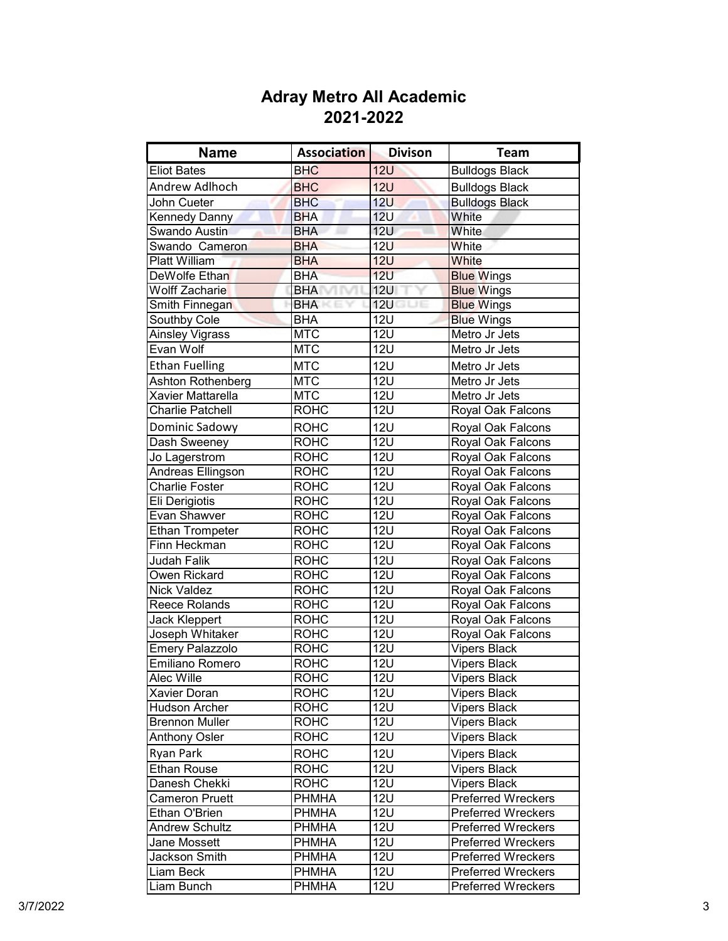| <b>Name</b>            | <b>Association</b> | <b>Divison</b>   | <b>Team</b>               |
|------------------------|--------------------|------------------|---------------------------|
| <b>Eliot Bates</b>     | <b>BHC</b>         | <b>12U</b>       | <b>Bulldogs Black</b>     |
| Andrew Adlhoch         | <b>BHC</b>         | <b>12U</b>       | <b>Bulldogs Black</b>     |
| John Cueter            | <b>BHC</b>         | 12U              | <b>Bulldogs Black</b>     |
| Kennedy Danny          | <b>BHA</b>         | 12 <sub>U</sub>  | White                     |
| Swando Austin          | <b>BHA</b>         | <b>12U</b>       | White                     |
| Swando Cameron         | <b>BHA</b>         | <b>12U</b>       | White                     |
| <b>Platt William</b>   | <b>BHA</b>         | <b>12U</b>       | White                     |
| DeWolfe Ethan          | <b>BHA</b>         | 12U              | <b>Blue Wings</b>         |
| Wolff Zacharie         | <b>BHA</b>         | <b>12U</b>       | <b>Blue Wings</b>         |
| Smith Finnegan         | <b>BHA</b>         | 12U              | <b>Blue Wings</b>         |
| Southby Cole           | <b>BHA</b>         | <b>12U</b>       | <b>Blue Wings</b>         |
| Ainsley Vigrass        | <b>MTC</b>         | <b>12U</b>       | Metro Jr Jets             |
| Evan Wolf              | <b>MTC</b>         | <b>12U</b>       | Metro Jr Jets             |
| <b>Ethan Fuelling</b>  | <b>MTC</b>         | <b>12U</b>       | Metro Jr Jets             |
| Ashton Rothenberg      | <b>MTC</b>         | <b>12U</b>       | Metro Jr Jets             |
| Xavier Mattarella      | <b>MTC</b>         | <b>12U</b>       | Metro Jr Jets             |
| Charlie Patchell       | <b>ROHC</b>        | <b>12U</b>       | Royal Oak Falcons         |
| Dominic Sadowy         | <b>ROHC</b>        | <b>12U</b>       | Royal Oak Falcons         |
| Dash Sweeney           | <b>ROHC</b>        | <b>12U</b>       | Royal Oak Falcons         |
| Jo Lagerstrom          | <b>ROHC</b>        | <b>12U</b>       | Royal Oak Falcons         |
| Andreas Ellingson      | <b>ROHC</b>        | <b>12U</b>       | Royal Oak Falcons         |
| <b>Charlie Foster</b>  | <b>ROHC</b>        | <b>12U</b>       | Royal Oak Falcons         |
| Eli Derigiotis         | <b>ROHC</b>        | $\overline{1}2U$ | Royal Oak Falcons         |
| Evan Shawver           | <b>ROHC</b>        | 12U              | Royal Oak Falcons         |
| <b>Ethan Trompeter</b> | <b>ROHC</b>        | <b>12U</b>       | Royal Oak Falcons         |
| Finn Heckman           | <b>ROHC</b>        | <b>12U</b>       | Royal Oak Falcons         |
| Judah Falik            | <b>ROHC</b>        | 12U              | Royal Oak Falcons         |
| Owen Rickard           | <b>ROHC</b>        | <b>12U</b>       | Royal Oak Falcons         |
| <b>Nick Valdez</b>     | <b>ROHC</b>        | <b>12U</b>       | Royal Oak Falcons         |
| Reece Rolands          | <b>ROHC</b>        | <b>12U</b>       | Royal Oak Falcons         |
| Jack Kleppert          | <b>ROHC</b>        | <b>12U</b>       | Royal Oak Falcons         |
| Joseph Whitaker        | <b>ROHC</b>        | <b>12U</b>       | Royal Oak Falcons         |
| Emery Palazzolo        | <b>ROHC</b>        | <b>12U</b>       | <b>Vipers Black</b>       |
| Emiliano Romero        | <b>ROHC</b>        | <b>12U</b>       | <b>Vipers Black</b>       |
| Alec Wille             | <b>ROHC</b>        | 12U              | <b>Vipers Black</b>       |
| <b>Xavier Doran</b>    | <b>ROHC</b>        | <b>12U</b>       | <b>Vipers Black</b>       |
| <b>Hudson Archer</b>   | <b>ROHC</b>        | <b>12U</b>       | <b>Vipers Black</b>       |
| <b>Brennon Muller</b>  | <b>ROHC</b>        | <b>12U</b>       | Vipers Black              |
| <b>Anthony Osler</b>   | <b>ROHC</b>        | <b>12U</b>       | <b>Vipers Black</b>       |
| Ryan Park              | <b>ROHC</b>        | <b>12U</b>       | <b>Vipers Black</b>       |
| <b>Ethan Rouse</b>     | <b>ROHC</b>        | <b>12U</b>       | <b>Vipers Black</b>       |
| Danesh Chekki          | <b>ROHC</b>        | <b>12U</b>       | <b>Vipers Black</b>       |
| <b>Cameron Pruett</b>  | <b>PHMHA</b>       | <b>12U</b>       | <b>Preferred Wreckers</b> |
| Ethan O'Brien          | PHMHA              | <b>12U</b>       | <b>Preferred Wreckers</b> |
| <b>Andrew Schultz</b>  | <b>PHMHA</b>       | <b>12U</b>       | <b>Preferred Wreckers</b> |
| Jane Mossett           | <b>PHMHA</b>       | <b>12U</b>       | <b>Preferred Wreckers</b> |
| Jackson Smith          | PHMHA              | <b>12U</b>       | <b>Preferred Wreckers</b> |
| Liam Beck              | <b>PHMHA</b>       | <b>12U</b>       | <b>Preferred Wreckers</b> |
| Liam Bunch             | <b>PHMHA</b>       | <b>12U</b>       | <b>Preferred Wreckers</b> |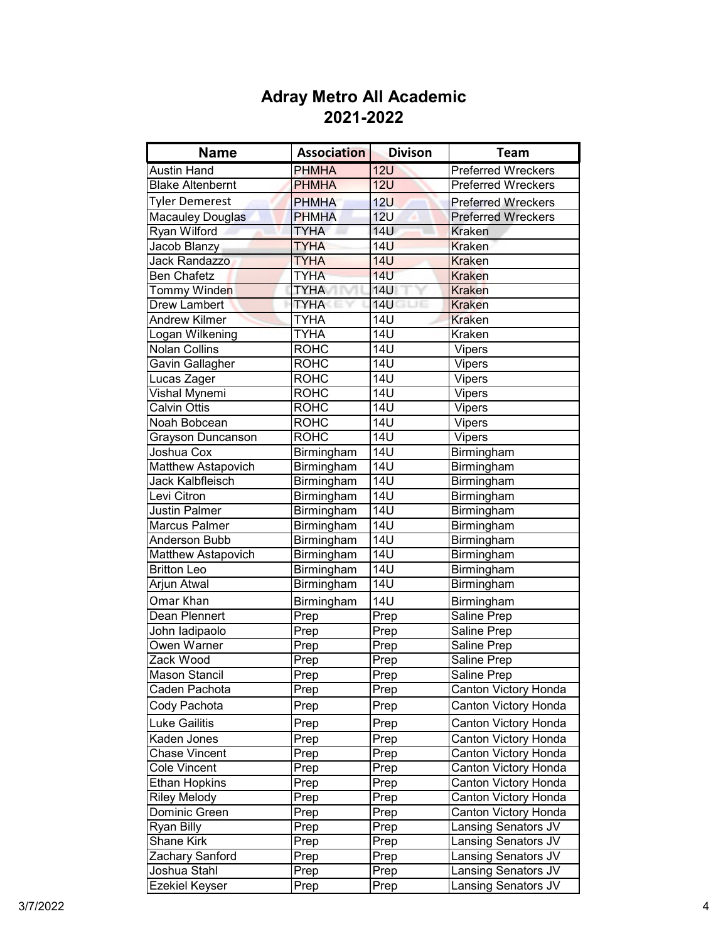| <b>Name</b>                | <b>Association</b> | <b>Divison</b>    | <b>Team</b>               |
|----------------------------|--------------------|-------------------|---------------------------|
| <b>Austin Hand</b>         | <b>PHMHA</b>       | 12U               | <b>Preferred Wreckers</b> |
| <b>Blake Altenbernt</b>    | <b>PHMHA</b>       | <b>12U</b>        | <b>Preferred Wreckers</b> |
| <b>Tyler Demerest</b>      | <b>PHMHA</b>       | <b>12U</b>        | <b>Preferred Wreckers</b> |
| <b>Macauley Douglas</b>    | <b>PHMHA</b>       | 12 <sub>U</sub>   | <b>Preferred Wreckers</b> |
| Ryan Wilford               | TYHA               | <b>14U</b>        | <b>Kraken</b>             |
| Jacob Blanzy               | <b>TYHA</b>        | <b>14U</b>        | <b>Kraken</b>             |
| Jack Randazzo              | <b>TYHA</b>        | <b>14U</b>        | <b>Kraken</b>             |
| <b>Ben Chafetz</b>         | <b>TYHA</b>        | <b>14U</b>        | <b>Kraken</b>             |
| Tommy Winde <mark>n</mark> | <b>TYHA</b>        | <b>14U</b>        | <b>Kraken</b>             |
| <b>Drew Lambert</b>        | <b>TYHA</b>        | <b>14U</b><br>GUE | <b>Kraken</b>             |
| <b>Andrew Kilmer</b>       | <b>TYHA</b>        | <b>14U</b>        | <b>Kraken</b>             |
| Logan Wilkening            | <b>TYHA</b>        | <b>14U</b>        | Kraken                    |
| <b>Nolan Collins</b>       | <b>ROHC</b>        | <b>14U</b>        | <b>Vipers</b>             |
| Gavin Gallagher            | <b>ROHC</b>        | <b>14U</b>        | <b>Vipers</b>             |
| Lucas Zager                | <b>ROHC</b>        | 14U               | Vipers                    |
| Vishal Mynemi              | <b>ROHC</b>        | 14U               | <b>Vipers</b>             |
| <b>Calvin Ottis</b>        | <b>ROHC</b>        | 14U               | Vipers                    |
| Noah Bobcean               | <b>ROHC</b>        | <b>14U</b>        | Vipers                    |
| Grayson Duncanson          | <b>ROHC</b>        | 14U               | Vipers                    |
| Joshua Cox                 | Birmingham         | 14U               | Birmingham                |
| Matthew Astapovich         | Birmingham         | 14U               | Birmingham                |
| Jack Kalbfleisch           | Birmingham         | <b>14U</b>        | Birmingham                |
| Levi Citron                | Birmingham         | <b>14U</b>        | Birmingham                |
| Justin Palmer              | Birmingham         | <b>14U</b>        | Birmingham                |
| <b>Marcus Palmer</b>       | Birmingham         | <b>14U</b>        | Birmingham                |
| Anderson Bubb              | Birmingham         | $\overline{14U}$  | Birmingham                |
| Matthew Astapovich         | Birmingham         | $\overline{14U}$  | Birmingham                |
| <b>Britton Leo</b>         | Birmingham         | 14 <sub>U</sub>   | Birmingham                |
| Arjun Atwal                | Birmingham         | $\overline{14U}$  | <b>Birmingham</b>         |
| Omar Khan                  | Birmingham         | <b>14U</b>        | Birmingham                |
| Dean Plennert              | Prep               | Prep              | Saline Prep               |
| John ladipaolo             | Prep               | Prep              | Saline Prep               |
| Owen Warner                | Prep               | Prep              | Saline Prep               |
| Zack Wood                  | Prep               | Prep              | Saline Prep               |
| Mason Stancil              | Prep               | Prep              | <b>Saline Prep</b>        |
| Caden Pachota              | Prep               | Prep              | Canton Victory Honda      |
| Cody Pachota               | Prep               | Prep              | Canton Victory Honda      |
| <b>Luke Gailitis</b>       | Prep               | Prep              | Canton Victory Honda      |
| Kaden Jones                | Prep               | Prep              | Canton Victory Honda      |
| <b>Chase Vincent</b>       | Prep               | Prep              | Canton Victory Honda      |
| <b>Cole Vincent</b>        | Prep               | Prep              | Canton Victory Honda      |
| <b>Ethan Hopkins</b>       | Prep               | Prep              | Canton Victory Honda      |
| <b>Riley Melody</b>        | Prep               | Prep              | Canton Victory Honda      |
| Dominic Green              | Prep               | Prep              | Canton Victory Honda      |
| Ryan Billy                 | Prep               | Prep              | Lansing Senators JV       |
| Shane Kirk                 | Prep               | Prep              | Lansing Senators JV       |
| Zachary Sanford            | Prep               | Prep              | Lansing Senators JV       |
| Joshua Stahl               | Prep               | Prep              | Lansing Senators JV       |
| <b>Ezekiel Keyser</b>      | Prep               | Prep              | Lansing Senators JV       |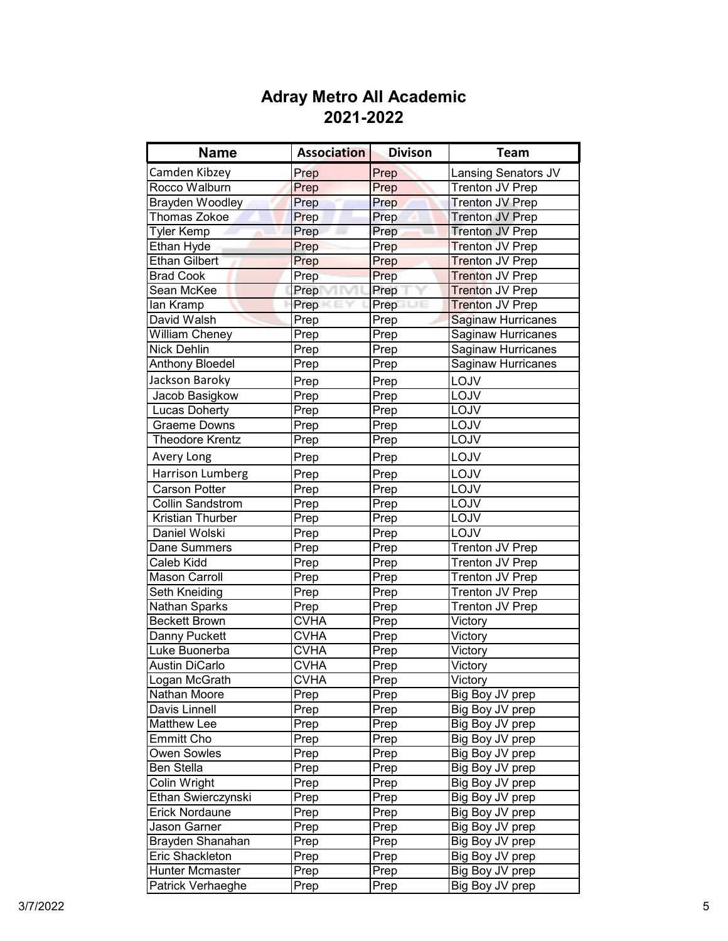| <b>Name</b>             | <b>Association</b> | <b>Divison</b>             | <b>Team</b>                |
|-------------------------|--------------------|----------------------------|----------------------------|
| Camden Kibzey           | Prep               | Prep                       | <b>Lansing Senators JV</b> |
| Rocco Walburn           | Prep               | Prep                       | <b>Trenton JV Prep</b>     |
| <b>Brayden Woodley</b>  | Prep               | Prep                       | <b>Trenton JV Prep</b>     |
| <b>Thomas Zokoe</b>     | Prep               | Prep                       | <b>Trenton JV Prep</b>     |
| <b>Tyler Kemp</b>       | Prep               | Prep                       | <b>Trenton JV Prep</b>     |
| Ethan Hyde              | Prep               | Prep                       | <b>Trenton JV Prep</b>     |
| <b>Ethan Gilbert</b>    | Prep               | Prep                       | Trenton JV Prep            |
| <b>Brad Cook</b>        | Prep               | Prep                       | <b>Trenton JV Prep</b>     |
| Sean McKee              | Prep               | Prep                       | Trenton JV Prep            |
| lan Kramp               | Prep               | Prep<br>JE                 | <b>Trenton JV Prep</b>     |
| David Walsh             | Prep               | Prep                       | <b>Saginaw Hurricanes</b>  |
| <b>William Cheney</b>   | Prep               | Prep                       | <b>Saginaw Hurricanes</b>  |
| <b>Nick Dehlin</b>      | Prep               | Prep                       | Saginaw Hurricanes         |
| <b>Anthony Bloedel</b>  | Prep               | Prep                       | Saginaw Hurricanes         |
| Jackson Baroky          | Prep               | Prep                       | LOJV                       |
| Jacob Basigkow          | Prep               | Prep                       | LOJV                       |
| <b>Lucas Doherty</b>    | Prep               | Prep                       | LOJV                       |
| <b>Graeme Downs</b>     | Prep               | Prep                       | LOJV                       |
| <b>Theodore Krentz</b>  | Prep               | Prep                       | LOJV                       |
| Avery Long              | Prep               | Prep                       | LOJV                       |
| Harrison Lumberg        | Prep               | Prep                       | LOJV                       |
| Carson Potter           | Prep               | Prep                       | LOJV                       |
| <b>Collin Sandstrom</b> | Prep               | Prep                       | LOJV                       |
| Kristian Thurber        | Prep               | Prep                       | LOJV                       |
| Daniel Wolski           | Prep               | Prep                       | LOJV                       |
| Dane Summers            | Prep               | Prep                       | Trenton JV Prep            |
| Caleb Kidd              | Prep               | Prep                       | Trenton JV Prep            |
| <b>Mason Carroll</b>    | Prep               | Prep                       | Trenton JV Prep            |
| Seth Kneiding           | Prep               | Prep                       | Trenton JV Prep            |
| <b>Nathan Sparks</b>    | Prep               | Prep                       | Trenton JV Prep            |
| <b>Beckett Brown</b>    | <b>CVHA</b>        | Prep                       | Victory                    |
| Danny Puckett           | <b>CVHA</b>        | Prep                       | Victory                    |
| Luke Buonerba           | <b>CVHA</b>        | Prep                       | Victory                    |
| <b>Austin DiCarlo</b>   | <b>CVHA</b>        | $\overline{P}$ rep         | Victory                    |
| Logan McGrath           | <b>CVHA</b>        | $\overline{\mathsf{Prep}}$ | Victory                    |
| Nathan Moore            | Prep               | Prep                       | Big Boy JV prep            |
| Davis Linnell           | Prep               | Prep                       | Big Boy JV prep            |
| Matthew Lee             | Prep               | Prep                       | Big Boy JV prep            |
| <b>Emmitt Cho</b>       | Prep               | Prep                       | Big Boy JV prep            |
| Owen Sowles             | Prep               | Prep                       | Big Boy JV prep            |
| Ben Stella              | Prep               | Prep                       | Big Boy JV prep            |
| Colin Wright            | Prep               | Prep                       | Big Boy JV prep            |
| Ethan Swierczynski      | Prep               | Prep                       | Big Boy JV prep            |
| Erick Nordaune          | Prep               | Prep                       | Big Boy JV prep            |
| Jason Garner            | Prep               | Prep                       | Big Boy JV prep            |
| Brayden Shanahan        | Prep               | Prep                       | Big Boy JV prep            |
| Eric Shackleton         | Prep               | Prep                       | Big Boy JV prep            |
| Hunter Mcmaster         | Prep               | Prep                       | Big Boy JV prep            |
| Patrick Verhaeghe       | Prep               | Prep                       | Big Boy JV prep            |